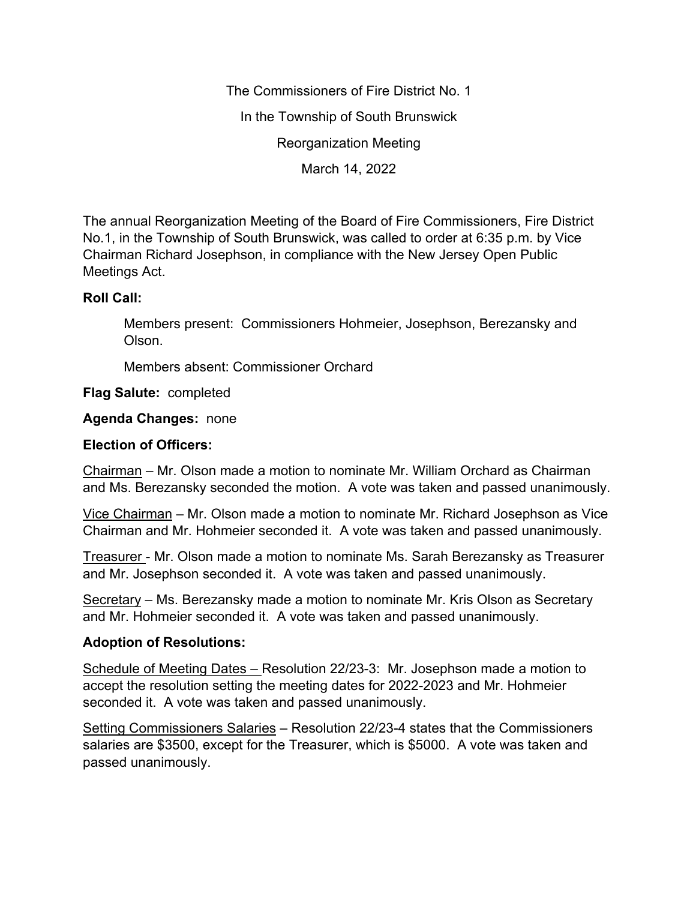The Commissioners of Fire District No. 1 In the Township of South Brunswick Reorganization Meeting March 14, 2022

The annual Reorganization Meeting of the Board of Fire Commissioners, Fire District No.1, in the Township of South Brunswick, was called to order at 6:35 p.m. by Vice Chairman Richard Josephson, in compliance with the New Jersey Open Public Meetings Act.

## **Roll Call:**

Members present: Commissioners Hohmeier, Josephson, Berezansky and Olson.

Members absent: Commissioner Orchard

**Flag Salute:** completed

**Agenda Changes:** none

## **Election of Officers:**

Chairman – Mr. Olson made a motion to nominate Mr. William Orchard as Chairman and Ms. Berezansky seconded the motion. A vote was taken and passed unanimously.

Vice Chairman – Mr. Olson made a motion to nominate Mr. Richard Josephson as Vice Chairman and Mr. Hohmeier seconded it. A vote was taken and passed unanimously.

Treasurer - Mr. Olson made a motion to nominate Ms. Sarah Berezansky as Treasurer and Mr. Josephson seconded it. A vote was taken and passed unanimously.

Secretary – Ms. Berezansky made a motion to nominate Mr. Kris Olson as Secretary and Mr. Hohmeier seconded it. A vote was taken and passed unanimously.

## **Adoption of Resolutions:**

Schedule of Meeting Dates – Resolution 22/23-3: Mr. Josephson made a motion to accept the resolution setting the meeting dates for 2022-2023 and Mr. Hohmeier seconded it. A vote was taken and passed unanimously.

Setting Commissioners Salaries – Resolution 22/23-4 states that the Commissioners salaries are \$3500, except for the Treasurer, which is \$5000. A vote was taken and passed unanimously.